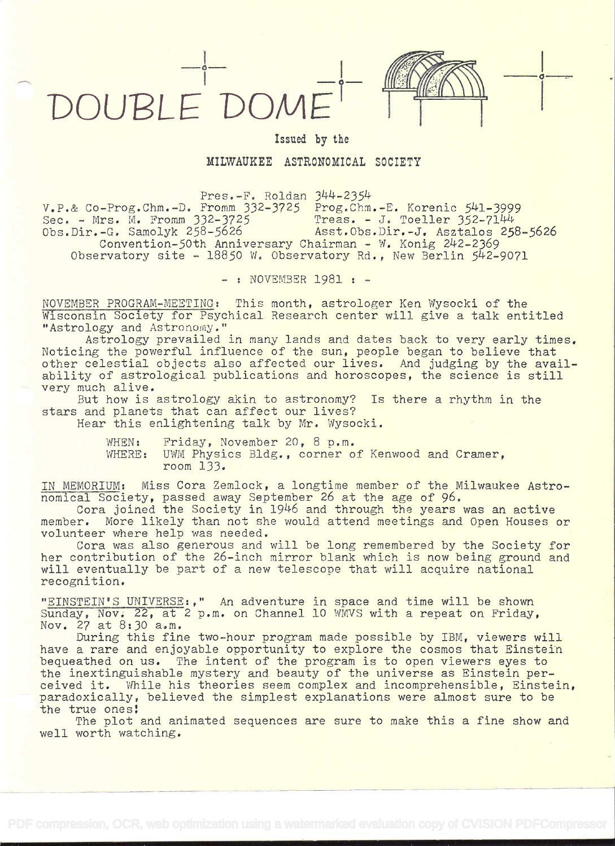



 $\sigma$  -  $\sim$ 

Issued by the

## MILWAUKEE ASTRONOMICAL SOCIETY

Pres.-F. Roldan 344-2354

V.P.& Co-Prog.Chm.-D. Fromm 332-3725 Prog.Chm.-E. Korenic 541-3999 Sec. - Mrs. M. Fromm 332-3725 Treas. - J. Toeller 352-7144 Obs.Dir.-G, Samolyk 258-5626 Asst.Cbs.Dir.-J. Asztalos 258-5626 Convention-5Oth Anniversary Chairman - W. Konig 242-2369 Observatory site - 18850 W. Observatory Rd., New Berlin 542-9071

- : NOVEMBER 1981 : -

NOVEMBER PROGRAM-MEETING: This month, astrologer Ken Wysocki of the Wisconsin Society for Psychical Research center will give a talk entitled "Astrology and Astronomy."

Astrology prevailed in many lands and dates back to very early times. Noticing the powerful influence of the sun, people began to believe that other celestial objects also affected our lives. And judging by the availability of astrological publications and horoscopes, the science is still very much alive.

But how is astrology akin to astronomy? Is there a rhythm in the stars and planets that can affect our lives?

Hear this enlightening talk by Mr. Wysocki.

WHEN: Friday, November 20, 8 p.m.

WHERE: UWM Physics Bldg., corner of Kenwood and Cramer, room 133.

IN MEMORIUM: Miss Cora Zemlock, a longtime member of the Milwaukee Astronomical Society, passed away September 26 at the age of 96.

Cora joined the Society in 1946 and through the years was an active member. More likely than not she would attend meetings and Open Houses or volunteer where help was needed.

Cora was also generous and will be long remembered by the Society for her contribution of the 26-inch mirror blank which is now being ground and will eventually be part of a new telescope that will acquire national recognition.

"EINSTEIN'S UNIVERSE:," An adventure in space and time will be shown Sunday, Nov. 22, at 2 p.m. on Channel 10 WMVS with a repeat on Friday, Nov, 27 at 8:30 a.m.

During this fine two-hour program made possible by IBM, viewers will have a rare and enjoyable opportunity to explore the cosmos that Einstein bequeathed on us. The intent of the program is to open viewers eyes to the inextinguishable mystery and beauty of the universe as Einstein perceived it. While his theories seem complex and incomprehensible, Einstein, paradoxically, believed the simplest explanations were almost sure to be the true ones!

The plot and animated sequences are sure to make this a fine show and well worth watching.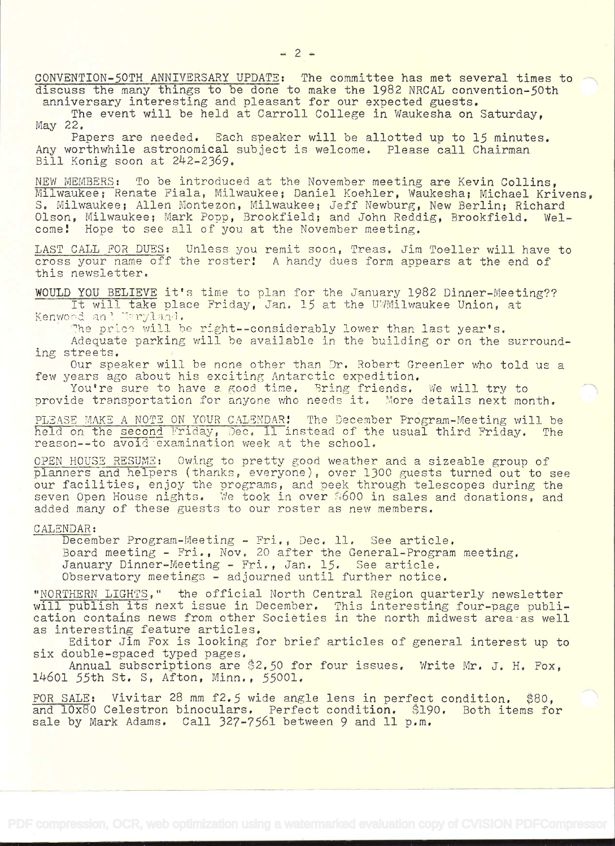CONVENTION-50TH ANNIVERSARY UPDATE: The committee has met several times to<br>discuss the many things to be done to make the 1982 NRCAL convention-50th<br>anniversary interesting and pleasant for our expected guests.<br>The event w

May 22,

Papers are needed. Each speaker will be allotted up to 15 minutes. Any worthwhile astronomical subject is welcome. Please call Chairman Bill Konig soon at 242-2369.

NEW MEMBERS: To be introduced at the November meeting are Kevin Collins,<br>Milwaukee; Renate Fiala, Milwaukee; Daniel Koehler, Waukesha; Michael Krivens, S. Milwaukee; Allen Montezon, Milwaukee; Jeff Newburg, New Berlin; Richard<br>Olson, Milwaukee; Mark Popp, Brookfield; and John Reddig, Brookfield, Wel-Olson, Milwaukee; Mark Popp, Brookfield; and John Reddig, Brookfield. come! Hope to see all of you at the November meeting.

LAST CALL FOR DUES: Unless you remit soon, Treas, Jim Toeller will have to cross your name off the roster! A handy dues form appears at the end of<br>this newsletter.

WOULD YOU BELIEVE it's time to plan for the January 1982 Dinner-Meeting?? It will take place Friday, Jan. 15 at the UWMilwaukee Union, at Kenwood and i<mark>e</mark>

The price will be right--considerably lower than last year's.<br>Adequate parking will be available in the building or on the surrounding streets.

Our speaker will be none other than Dr. Robert Greenler who told us a few years ago about his exciting Antarctic expedition.

You're sure to have a good time. Bring friends. We will try to provide transportation for anyone who needs it. More details next month.

PLEASE MAKE A NOTE ON YOUR CALENDAR! The December Program-Meeting will be held on the second Friday, Dec. 11 instead of the usual third Friday. The reason--to avoid examination week at the school.

OPEN HOUSE RESUME: Owing to pretty good weather and a sizeable group of<br>planners and helpers (thanks, everyone), over 1300 guests turned out to see planners and neipers (thanks, everyone), over 1500 guests turned out to see<br>our facilities, enjoy the programs, and peek through telescopes during the seven Open House nights. We took in over 5600 in sales and donations, and added many of these guests to our roster as new members.

## CALENDAR:

December Program-Meeting - Fri., Dec. 11. See article.<br>Board meeting - Fri., Nov. 20 after the General-Program meeting.<br>January Dinner-Meeting - Fri., Jan. 15. See article.<br>Observatory meetings - adjourned until further no

"NORTHERN LIGHTS," the official North Central Region quarterly newsletter will publish its next issue in December, This interesting four-page publi- cation contains news from other Societies in the north midwest area-as well

Editor Jim Fox is looking for brief articles of general interest up to<br>six double-spaced typed pages.<br>Annual subscriptions are \$2.50 for four issues. Write Mr. J. H. Fox,<br>14601 55th St. S, Afton, Minn., 55001.

FOR SALE: Vivitar 28 mm f2,5 wide angle lens in perfect condition. \$80, and 10x80 Celestron binoculars. Perfect condition. \$190. Both items for sale by Mark Adams. Call 327-7561 between 9 and 11 p.m.